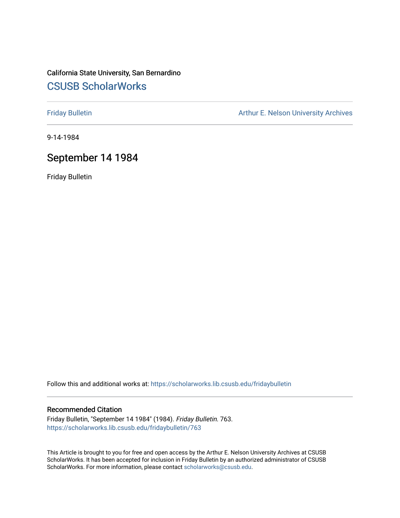# California State University, San Bernardino [CSUSB ScholarWorks](https://scholarworks.lib.csusb.edu/)

[Friday Bulletin](https://scholarworks.lib.csusb.edu/fridaybulletin) **Arthur E. Nelson University Archives** Arthur E. Nelson University Archives

9-14-1984

# September 14 1984

Friday Bulletin

Follow this and additional works at: [https://scholarworks.lib.csusb.edu/fridaybulletin](https://scholarworks.lib.csusb.edu/fridaybulletin?utm_source=scholarworks.lib.csusb.edu%2Ffridaybulletin%2F763&utm_medium=PDF&utm_campaign=PDFCoverPages)

### Recommended Citation

Friday Bulletin, "September 14 1984" (1984). Friday Bulletin. 763. [https://scholarworks.lib.csusb.edu/fridaybulletin/763](https://scholarworks.lib.csusb.edu/fridaybulletin/763?utm_source=scholarworks.lib.csusb.edu%2Ffridaybulletin%2F763&utm_medium=PDF&utm_campaign=PDFCoverPages)

This Article is brought to you for free and open access by the Arthur E. Nelson University Archives at CSUSB ScholarWorks. It has been accepted for inclusion in Friday Bulletin by an authorized administrator of CSUSB ScholarWorks. For more information, please contact [scholarworks@csusb.edu.](mailto:scholarworks@csusb.edu)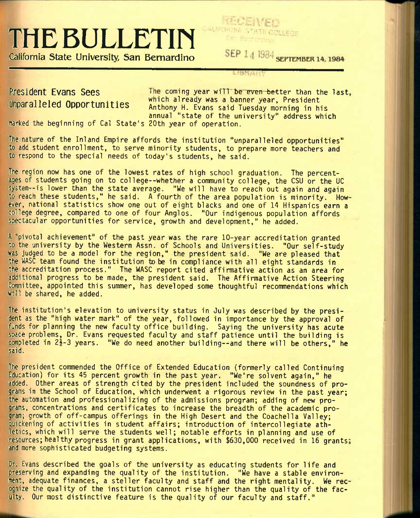# THE BULLETIN SEP 14 1984 SEPTEMBER 14, 1984

**California State University San Bernardino** 

LIBRATI

President Evans Sees **The coming year will be even better than the last**. Unparalleled Opportunities which already was a banner year, President Anthony H. Evans said Tuesday morning in his annual "state of the university" address which

marked the beginning of Cal State's 20th year of operation.

The nature of the Inland Empire affords the institution "unparalleled opportunities" to add student enrollment, to serve minority students, to prepare more teachers and to respond to the special needs of today's students, he said.

The region now has one of the lowest rates of high school graduation. The percentages of students going on to college--whether a community college, the CSU or the DC system--is lower than the state average. "We will have to reach out again and again to reach these students," he said. A fourth of the area population is minority. How ever, national statistics show one out of eight blacks and one of 14 Hispanics earn a college degree, compared to one of four Anglos. "Our indigenous population affords spectacular opportunities for service, growth and development," he added.

A "pivotal achievement" of the past year was the rare 10-year accreditation granted to the university by the Western Assn. of Schools and Universities. "Our self-study was judged to be a model for the region," the president said. "We are pleased that the WASC team found the institution to be in compliance with all eight standards in the accreditation process." The WASC report cited affirmative action as an area for additional progress to be made, the president said. The Affirmative Action Steering Committee, appointed this summer, has developed some thoughtful recommendations which will be shared, he added.

The institution's elevation to university status in July was described by the president as the "high water mark" of the year, followed in importance by the approval of funds for planning the new faculty office building. Saying the university has acute space problems. Dr. Evans requested faculty and staff patience until the building is completed in  $2\frac{1}{2}-3$  years. "We do need another building--and there will be others," he said.

The president commended the Office of Extended Education (formerly called Continuing Education) for its 45 percent growth in the past year. "We're solvent again," he added. Other areas of strength cited by the president included the soundness of programs in the School of Education, which underwent a rigorous review in the past year; the automation and professionalizing of the admissions program; adding of new programs, concentrations and certificates to increase the breadth of the academic program; growth of off-campus offerings in the High Desert and the Coachella Valley; quickening of activities in student affairs; introduction of intercollegiate athletics, which will serve the students well; notable efforts in planning and use of resources; healthy progress in grant applications, with \$630,000 received in 16 grants; and more sophisticated budgeting systems.

Dr. Evans described the goals of the university as educating students for life and preserving and expanding the quality of the institution. "We have a stable environment, adequate finances, a steller faculty and staff and the right mentality. We rec ognize the quality of the institution cannot rise higher than the quality of the faculty. Our most distinctive feature is the quality of our faculty and staff."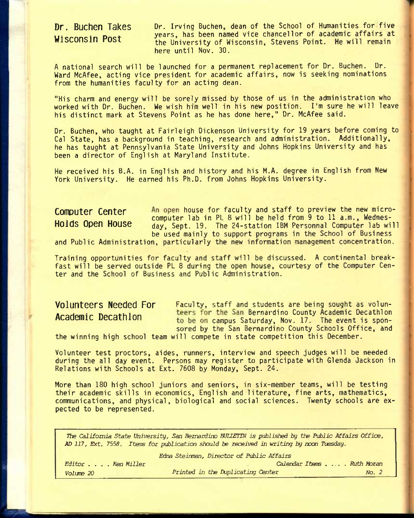# **Dr. Buchen Takes Wisconsin Post**

Dr. Irving Buchen, dean of the School of Humanities for five years, has been named vice chancellor of academic affairs at the University of Wisconsin, Stevens Point. He will remain here until Nov. 30.

A national search will be launched for a permanent replacement for Dr. Buchen. Dr. Ward McAfee, acting vice president for academic affairs, now is seeking nominations from the humanities faculty for an acting dean.

"His charm and energy will be sorely missed by those of us in the administration who worked with Dr. Buchen. We wish him well in his new position. I'm sure he will leave his distinct mark at Stevens Point as he has done here," Dr. McAfee said.

Dr. Buchen, who taught at Fairleigh Dickenson University for 19 years before coming to Cal State, has a background in teaching, research and administration. Additionally, he has taught at Pennsylvania State University and Johns Hopkins University and has been a director of English at Maryland Institute.

He received his B.A. in English and history and his M.A. degree in English from New York University. He earned his Ph.D. from Johns Hopkins University.

**Computer Center** An open house for faculty and staff to preview the new microcomputer lab in PL 8 will be held from 9 to 11 a.m., Wednes-**HOldS Open House** day, Sept. 19. The 24-station IBM Personnal Computer lab will be used mainly to support programs in the School of Business

and Public Administration, particularly the new information management concentration.

Training opportunities for faculty and staff will be discussed. A continental breakfast will be served outside PL 8 during the open house, courtesy of the Computer Center and the School of Business and Public Administration.

**Volunteers Needed For** Faculty, staff and students are being sought as volun-Academic Decathlon teers for the San Bernardino County Academic Decathlon to be on campus Saturday, Nov. 17. The event is sponsored by the San Bernardino County Schools Office, and

the winning high school team will compete in state competition this December.

Volunteer test proctors, aides, runners, interview and speech judges will be needed during the all day event. Persons may register to participate with Glenda Jackson in Relations with Schools at Ext. 7608 by Monday, Sept. 24.

More than 180 high school juniors and seniors, in six-member teams, will be testing their academic skills in economics, English and literature, fine arts, mathematics, communications, and physical, biological and social sciences. Twenty schools are expected to be represented.

*The California State University, San Bernardino WUETIN is published by the Public Affairs Office, AD 117, Ext. 7558. ItefiG for publication should be received in writing by nocn Tuesday.* 

|                   | Edna Steinman, Director of Public Affairs |       |
|-------------------|-------------------------------------------|-------|
| Editor Ken Miller | Calendar Items Ruth Moran                 |       |
| Volume 20         | Printed in the Duplicating Center         | No. 2 |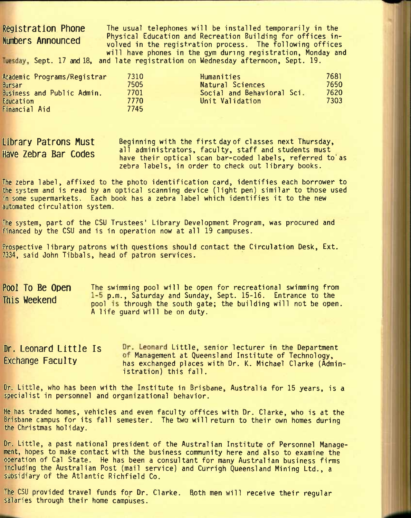# **Registration Phone Numbers Announced**

The usual telephones will be installed temporarily in the Physical Education and Recreation Building for offices involved in the registration process. The following offices will have phones in the gym during registration, Monday and Tuesday, Sept. 17 and 18, and late registration on Wednesday afternoon, Sept. 19.

| Academic Programs/Registrar | 7310  | Humanities                 | 7681. |
|-----------------------------|-------|----------------------------|-------|
| Bursar                      | 7505  | Natural Sciences           | 7650  |
| Business and Public Admin.  | 7701  | Social and Behavioral Sci. | 7620  |
| Education                   | 7770. | Unit Validation            | 7303  |
| Financial Aid               | 7745  |                            |       |

Beginning with the first day of classes next Thursday, all administrators, faculty, staff and students must have their optical scan bar-coded labels, referred to'as zebra labels, in order to check out library books. **Library Patrons Must Have Zebra Bar Codes** 

The zebra label, affixed to the photo identification card, identifies each borrower to the system and is read by an optical scanning device (light pen) similar to those used in some supermarkets. Each book has a zebra label which identifies it to the new automated circulation system.

The system, part of the CSU Trustees' Library Development Program, was procured and financed by the CSU and is in operation now at all 19 campuses.

Prospective library patrons with questions should contact the Circulation Desk, Ext. 7334, said John Tibbals, head of patron services.

**Pool To Be Open** The swimming pool will be open for recreational swimming from This Weekend  $\frac{1-5}{1-5}$  p.m., Saturday and Sunday, Sept. 15-16. Entrance to the pool is through the south gate; the building will not be open. A life guard will be on duty.

Dr. Leonard Little Is **Dr. Leonard Little, senior lecturer in the Department** B . coolid diction is the Management at Queensland Institute of Technology,<br>Exchange Faculty that exchanged places with Dr. K. Michael Clarke (Adm has exchanged places with Dr. K. Michael Clarke (Administration) this fall.

Dr. Little, who has been with the Institute in Brisbane, Australia for 15 years, is a specialist in personnel and organizational behavior.

He has traded homes, vehicles and even faculty offices with Dr. Clarke, who is at the Brisbane campus for its fall semester. The two will return to their own homes during the Christmas holiday.

Dr. Little, a past national president of the Australian Institute of Personnel Management, hopes to make contact with the business community here and also to examine the operation of Cal State. He has been a consultant for many Australian business firms including the Australian Post (mail service) and Currigh Queensland Mining Ltd., a subsidiary of the Atlantic Richfield Co.

The CSU provided travel funds for Dr. Clarke. Both men will receive their regular salaries through their home campuses.